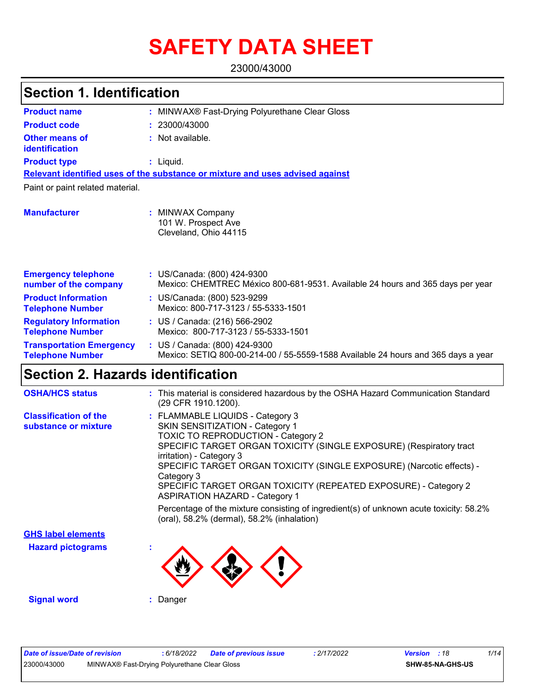# **SAFETY DATA SHEET**

23000/43000

| <b>Section 1. Identification</b>                           |                                                                                                                    |  |
|------------------------------------------------------------|--------------------------------------------------------------------------------------------------------------------|--|
| <b>Product name</b>                                        | MINWAX® Fast-Drying Polyurethane Clear Gloss                                                                       |  |
| <b>Product code</b>                                        | 23000/43000                                                                                                        |  |
| <b>Other means of</b><br>identification                    | Not available.                                                                                                     |  |
| <b>Product type</b>                                        | : Liquid.                                                                                                          |  |
|                                                            | Relevant identified uses of the substance or mixture and uses advised against                                      |  |
| Paint or paint related material.                           |                                                                                                                    |  |
| <b>Manufacturer</b>                                        | <b>MINWAX Company</b><br>101 W. Prospect Ave<br>Cleveland, Ohio 44115                                              |  |
| <b>Emergency telephone</b><br>number of the company        | : US/Canada: (800) 424-9300<br>Mexico: CHEMTREC México 800-681-9531. Available 24 hours and 365 days per year      |  |
| <b>Product Information</b><br><b>Telephone Number</b>      | : US/Canada: (800) 523-9299<br>Mexico: 800-717-3123 / 55-5333-1501                                                 |  |
| <b>Regulatory Information</b><br><b>Telephone Number</b>   | : US / Canada: (216) 566-2902<br>Mexico: 800-717-3123 / 55-5333-1501                                               |  |
| <b>Transportation Emergency</b><br><b>Telephone Number</b> | : US / Canada: (800) 424-9300<br>Mexico: SETIQ 800-00-214-00 / 55-5559-1588 Available 24 hours and 365 days a year |  |

| <b>OSHA/HCS status</b>                               | : This material is considered hazardous by the OSHA Hazard Communication Standard<br>(29 CFR 1910.1200).                                                                                                                                                                                                                                                                                                                      |
|------------------------------------------------------|-------------------------------------------------------------------------------------------------------------------------------------------------------------------------------------------------------------------------------------------------------------------------------------------------------------------------------------------------------------------------------------------------------------------------------|
| <b>Classification of the</b><br>substance or mixture | : FLAMMABLE LIQUIDS - Category 3<br><b>SKIN SENSITIZATION - Category 1</b><br><b>TOXIC TO REPRODUCTION - Category 2</b><br>SPECIFIC TARGET ORGAN TOXICITY (SINGLE EXPOSURE) (Respiratory tract<br>irritation) - Category 3<br>SPECIFIC TARGET ORGAN TOXICITY (SINGLE EXPOSURE) (Narcotic effects) -<br>Category 3<br>SPECIFIC TARGET ORGAN TOXICITY (REPEATED EXPOSURE) - Category 2<br><b>ASPIRATION HAZARD - Category 1</b> |
|                                                      | Percentage of the mixture consisting of ingredient(s) of unknown acute toxicity: 58.2%<br>(oral), 58.2% (dermal), 58.2% (inhalation)                                                                                                                                                                                                                                                                                          |
| <b>GHS label elements</b>                            |                                                                                                                                                                                                                                                                                                                                                                                                                               |
| <b>Hazard pictograms</b>                             |                                                                                                                                                                                                                                                                                                                                                                                                                               |

 $\langle ! \rangle$ 

**Signal word :** Danger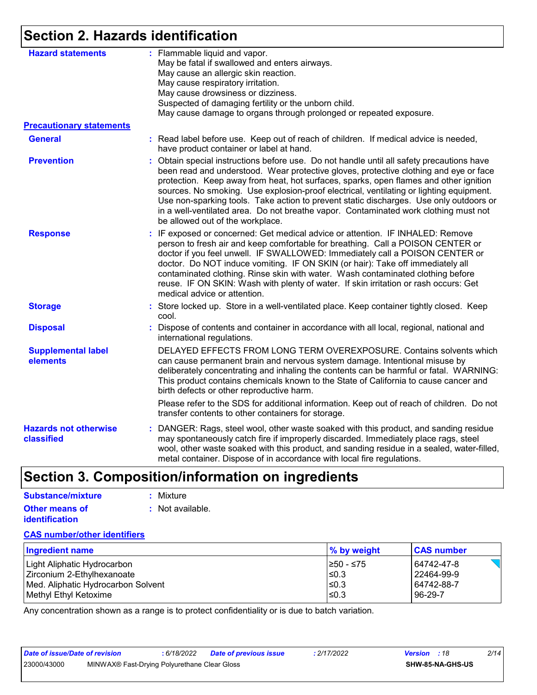## **Section 2. Hazards identification**

| <b>Hazard statements</b>                   | : Flammable liquid and vapor.<br>May be fatal if swallowed and enters airways.<br>May cause an allergic skin reaction.<br>May cause respiratory irritation.<br>May cause drowsiness or dizziness.<br>Suspected of damaging fertility or the unborn child.<br>May cause damage to organs through prolonged or repeated exposure.                                                                                                                                                                                                                                                            |
|--------------------------------------------|--------------------------------------------------------------------------------------------------------------------------------------------------------------------------------------------------------------------------------------------------------------------------------------------------------------------------------------------------------------------------------------------------------------------------------------------------------------------------------------------------------------------------------------------------------------------------------------------|
| <b>Precautionary statements</b>            |                                                                                                                                                                                                                                                                                                                                                                                                                                                                                                                                                                                            |
| <b>General</b>                             | : Read label before use. Keep out of reach of children. If medical advice is needed,<br>have product container or label at hand.                                                                                                                                                                                                                                                                                                                                                                                                                                                           |
| <b>Prevention</b>                          | Obtain special instructions before use. Do not handle until all safety precautions have<br>been read and understood. Wear protective gloves, protective clothing and eye or face<br>protection. Keep away from heat, hot surfaces, sparks, open flames and other ignition<br>sources. No smoking. Use explosion-proof electrical, ventilating or lighting equipment.<br>Use non-sparking tools. Take action to prevent static discharges. Use only outdoors or<br>in a well-ventilated area. Do not breathe vapor. Contaminated work clothing must not<br>be allowed out of the workplace. |
| <b>Response</b>                            | : IF exposed or concerned: Get medical advice or attention. IF INHALED: Remove<br>person to fresh air and keep comfortable for breathing. Call a POISON CENTER or<br>doctor if you feel unwell. IF SWALLOWED: Immediately call a POISON CENTER or<br>doctor. Do NOT induce vomiting. IF ON SKIN (or hair): Take off immediately all<br>contaminated clothing. Rinse skin with water. Wash contaminated clothing before<br>reuse. IF ON SKIN: Wash with plenty of water. If skin irritation or rash occurs: Get<br>medical advice or attention.                                             |
| <b>Storage</b>                             | : Store locked up. Store in a well-ventilated place. Keep container tightly closed. Keep<br>cool.                                                                                                                                                                                                                                                                                                                                                                                                                                                                                          |
| <b>Disposal</b>                            | Dispose of contents and container in accordance with all local, regional, national and<br>international regulations.                                                                                                                                                                                                                                                                                                                                                                                                                                                                       |
| <b>Supplemental label</b><br>elements      | DELAYED EFFECTS FROM LONG TERM OVEREXPOSURE. Contains solvents which<br>can cause permanent brain and nervous system damage. Intentional misuse by<br>deliberately concentrating and inhaling the contents can be harmful or fatal. WARNING:<br>This product contains chemicals known to the State of California to cause cancer and<br>birth defects or other reproductive harm.                                                                                                                                                                                                          |
|                                            | Please refer to the SDS for additional information. Keep out of reach of children. Do not<br>transfer contents to other containers for storage.                                                                                                                                                                                                                                                                                                                                                                                                                                            |
| <b>Hazards not otherwise</b><br>classified | : DANGER: Rags, steel wool, other waste soaked with this product, and sanding residue<br>may spontaneously catch fire if improperly discarded. Immediately place rags, steel<br>wool, other waste soaked with this product, and sanding residue in a sealed, water-filled,<br>metal container. Dispose of in accordance with local fire regulations.                                                                                                                                                                                                                                       |

## **Section 3. Composition/information on ingredients**

| Substance/mixture     | : Mixture        |
|-----------------------|------------------|
| <b>Other means of</b> | : Not available. |
| <b>identification</b> |                  |

#### **CAS number/other identifiers**

| Ingredient name                    | % by weight | <b>CAS number</b> |
|------------------------------------|-------------|-------------------|
| Light Aliphatic Hydrocarbon        | 1≥50 - ≤75  | 64742-47-8        |
| Zirconium 2-Ethylhexanoate         | l≤0.3       | l 22464-99-9      |
| Med. Aliphatic Hydrocarbon Solvent | 1≤0.3       | 64742-88-7        |
| Methyl Ethyl Ketoxime              | ≤0.3        | 96-29-7           |

Any concentration shown as a range is to protect confidentiality or is due to batch variation.

| Date of issue/Date of revision |                                              | 6/18/2022 | <b>Date of previous issue</b> | : 2/17/2022 | <b>Version</b> : 18 |                         | 2/14 |
|--------------------------------|----------------------------------------------|-----------|-------------------------------|-------------|---------------------|-------------------------|------|
| 23000/43000                    | MINWAX® Fast-Drying Polyurethane Clear Gloss |           |                               |             |                     | <b>SHW-85-NA-GHS-US</b> |      |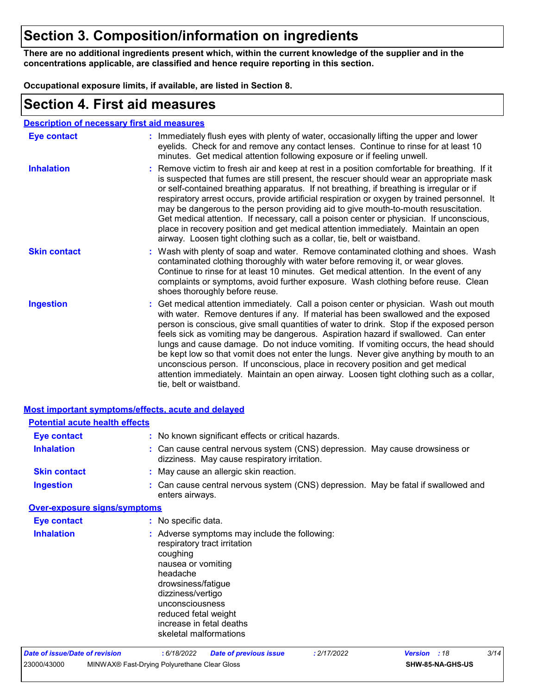## **Section 3. Composition/information on ingredients**

**There are no additional ingredients present which, within the current knowledge of the supplier and in the concentrations applicable, are classified and hence require reporting in this section.**

**Occupational exposure limits, if available, are listed in Section 8.**

### **Section 4. First aid measures**

#### **Description of necessary first aid measures**

| <b>Eye contact</b>  | : Immediately flush eyes with plenty of water, occasionally lifting the upper and lower<br>eyelids. Check for and remove any contact lenses. Continue to rinse for at least 10<br>minutes. Get medical attention following exposure or if feeling unwell.                                                                                                                                                                                                                                                                                                                                                                                                                                                                                               |
|---------------------|---------------------------------------------------------------------------------------------------------------------------------------------------------------------------------------------------------------------------------------------------------------------------------------------------------------------------------------------------------------------------------------------------------------------------------------------------------------------------------------------------------------------------------------------------------------------------------------------------------------------------------------------------------------------------------------------------------------------------------------------------------|
| <b>Inhalation</b>   | : Remove victim to fresh air and keep at rest in a position comfortable for breathing. If it<br>is suspected that fumes are still present, the rescuer should wear an appropriate mask<br>or self-contained breathing apparatus. If not breathing, if breathing is irregular or if<br>respiratory arrest occurs, provide artificial respiration or oxygen by trained personnel. It<br>may be dangerous to the person providing aid to give mouth-to-mouth resuscitation.<br>Get medical attention. If necessary, call a poison center or physician. If unconscious,<br>place in recovery position and get medical attention immediately. Maintain an open<br>airway. Loosen tight clothing such as a collar, tie, belt or waistband.                    |
| <b>Skin contact</b> | : Wash with plenty of soap and water. Remove contaminated clothing and shoes. Wash<br>contaminated clothing thoroughly with water before removing it, or wear gloves.<br>Continue to rinse for at least 10 minutes. Get medical attention. In the event of any<br>complaints or symptoms, avoid further exposure. Wash clothing before reuse. Clean<br>shoes thoroughly before reuse.                                                                                                                                                                                                                                                                                                                                                                   |
| <b>Ingestion</b>    | : Get medical attention immediately. Call a poison center or physician. Wash out mouth<br>with water. Remove dentures if any. If material has been swallowed and the exposed<br>person is conscious, give small quantities of water to drink. Stop if the exposed person<br>feels sick as vomiting may be dangerous. Aspiration hazard if swallowed. Can enter<br>lungs and cause damage. Do not induce vomiting. If vomiting occurs, the head should<br>be kept low so that vomit does not enter the lungs. Never give anything by mouth to an<br>unconscious person. If unconscious, place in recovery position and get medical<br>attention immediately. Maintain an open airway. Loosen tight clothing such as a collar,<br>tie, belt or waistband. |

|                                       | Most important symptoms/effects, acute and delayed                                                                                                                                                                                                                      |
|---------------------------------------|-------------------------------------------------------------------------------------------------------------------------------------------------------------------------------------------------------------------------------------------------------------------------|
| <b>Potential acute health effects</b> |                                                                                                                                                                                                                                                                         |
| <b>Eye contact</b>                    | : No known significant effects or critical hazards.                                                                                                                                                                                                                     |
| <b>Inhalation</b>                     | : Can cause central nervous system (CNS) depression. May cause drowsiness or<br>dizziness. May cause respiratory irritation.                                                                                                                                            |
| <b>Skin contact</b>                   | : May cause an allergic skin reaction.                                                                                                                                                                                                                                  |
| <b>Ingestion</b>                      | : Can cause central nervous system (CNS) depression. May be fatal if swallowed and<br>enters airways.                                                                                                                                                                   |
| <b>Over-exposure signs/symptoms</b>   |                                                                                                                                                                                                                                                                         |
| <b>Eye contact</b>                    | : No specific data.                                                                                                                                                                                                                                                     |
| <b>Inhalation</b>                     | : Adverse symptoms may include the following:<br>respiratory tract irritation<br>coughing<br>nausea or vomiting<br>headache<br>drowsiness/fatigue<br>dizziness/vertigo<br>unconsciousness<br>reduced fetal weight<br>increase in fetal deaths<br>skeletal malformations |
| Date of issue/Date of revision        | 3/14<br>: 2/17/2022<br>: 6/18/2022<br><b>Date of previous issue</b><br><b>Version</b><br>:18                                                                                                                                                                            |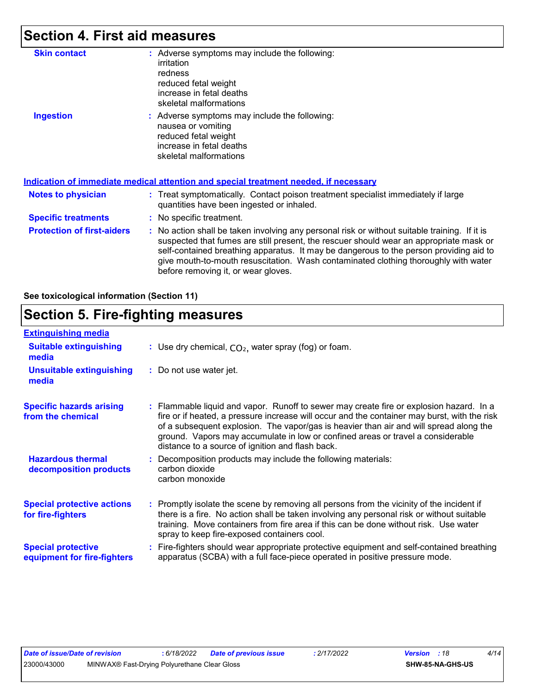## **Section 4. First aid measures**

| <b>Skin contact</b>               | : Adverse symptoms may include the following:<br>irritation<br>redness<br>reduced fetal weight<br>increase in fetal deaths<br>skeletal malformations                                                                                                                                                                                                                                                            |
|-----------------------------------|-----------------------------------------------------------------------------------------------------------------------------------------------------------------------------------------------------------------------------------------------------------------------------------------------------------------------------------------------------------------------------------------------------------------|
| <b>Ingestion</b>                  | : Adverse symptoms may include the following:<br>nausea or vomiting<br>reduced fetal weight<br>increase in fetal deaths<br>skeletal malformations<br><u>Indication of immediate medical attention and special treatment needed, if necessary</u>                                                                                                                                                                |
|                                   |                                                                                                                                                                                                                                                                                                                                                                                                                 |
| Notes to physician                | : Treat symptomatically. Contact poison treatment specialist immediately if large<br>quantities have been ingested or inhaled.                                                                                                                                                                                                                                                                                  |
| <b>Specific treatments</b>        | : No specific treatment.                                                                                                                                                                                                                                                                                                                                                                                        |
| <b>Protection of first-aiders</b> | : No action shall be taken involving any personal risk or without suitable training. If it is<br>suspected that fumes are still present, the rescuer should wear an appropriate mask or<br>self-contained breathing apparatus. It may be dangerous to the person providing aid to<br>give mouth-to-mouth resuscitation. Wash contaminated clothing thoroughly with water<br>before removing it, or wear gloves. |

**See toxicological information (Section 11)**

### **Section 5. Fire-fighting measures**

| <b>Extinguishing media</b>                               |                                                                                                                                                                                                                                                                                                                                                                                                                          |
|----------------------------------------------------------|--------------------------------------------------------------------------------------------------------------------------------------------------------------------------------------------------------------------------------------------------------------------------------------------------------------------------------------------------------------------------------------------------------------------------|
| <b>Suitable extinguishing</b><br>media                   | : Use dry chemical, $CO2$ , water spray (fog) or foam.                                                                                                                                                                                                                                                                                                                                                                   |
| <b>Unsuitable extinguishing</b><br>media                 | : Do not use water jet.                                                                                                                                                                                                                                                                                                                                                                                                  |
| <b>Specific hazards arising</b><br>from the chemical     | : Flammable liquid and vapor. Runoff to sewer may create fire or explosion hazard. In a<br>fire or if heated, a pressure increase will occur and the container may burst, with the risk<br>of a subsequent explosion. The vapor/gas is heavier than air and will spread along the<br>ground. Vapors may accumulate in low or confined areas or travel a considerable<br>distance to a source of ignition and flash back. |
| <b>Hazardous thermal</b><br>decomposition products       | Decomposition products may include the following materials:<br>carbon dioxide<br>carbon monoxide                                                                                                                                                                                                                                                                                                                         |
| <b>Special protective actions</b><br>for fire-fighters   | : Promptly isolate the scene by removing all persons from the vicinity of the incident if<br>there is a fire. No action shall be taken involving any personal risk or without suitable<br>training. Move containers from fire area if this can be done without risk. Use water<br>spray to keep fire-exposed containers cool.                                                                                            |
| <b>Special protective</b><br>equipment for fire-fighters | Fire-fighters should wear appropriate protective equipment and self-contained breathing<br>apparatus (SCBA) with a full face-piece operated in positive pressure mode.                                                                                                                                                                                                                                                   |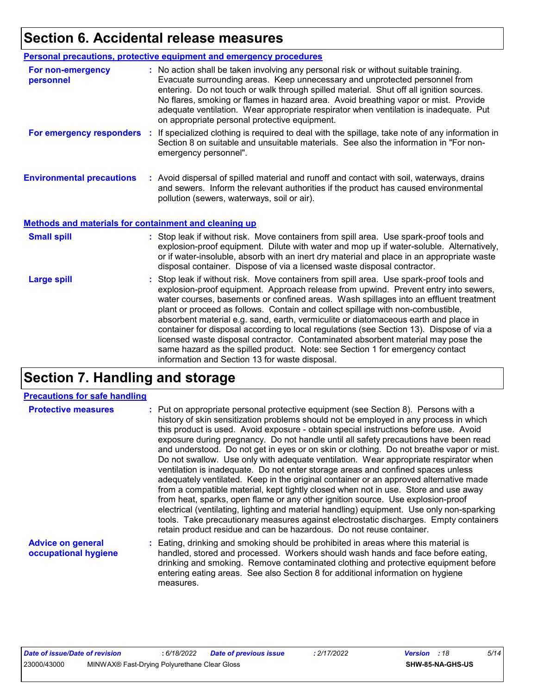## **Section 6. Accidental release measures**

|                                                              | Personal precautions, protective equipment and emergency procedures                                                                                                                                                                                                                                                                                                                                                                                                                             |
|--------------------------------------------------------------|-------------------------------------------------------------------------------------------------------------------------------------------------------------------------------------------------------------------------------------------------------------------------------------------------------------------------------------------------------------------------------------------------------------------------------------------------------------------------------------------------|
| For non-emergency<br>personnel                               | : No action shall be taken involving any personal risk or without suitable training.<br>Evacuate surrounding areas. Keep unnecessary and unprotected personnel from<br>entering. Do not touch or walk through spilled material. Shut off all ignition sources.<br>No flares, smoking or flames in hazard area. Avoid breathing vapor or mist. Provide<br>adequate ventilation. Wear appropriate respirator when ventilation is inadequate. Put<br>on appropriate personal protective equipment. |
| For emergency responders                                     | : If specialized clothing is required to deal with the spillage, take note of any information in<br>Section 8 on suitable and unsuitable materials. See also the information in "For non-<br>emergency personnel".                                                                                                                                                                                                                                                                              |
| <b>Environmental precautions</b>                             | : Avoid dispersal of spilled material and runoff and contact with soil, waterways, drains<br>and sewers. Inform the relevant authorities if the product has caused environmental<br>pollution (sewers, waterways, soil or air).                                                                                                                                                                                                                                                                 |
| <b>Methods and materials for containment and cleaning up</b> |                                                                                                                                                                                                                                                                                                                                                                                                                                                                                                 |
| <b>Small spill</b>                                           | : Stop leak if without risk. Move containers from spill area. Use spark-proof tools and<br>explosion-proof equipment. Dilute with water and mop up if water-soluble. Alternatively,<br>or if water-insoluble, absorb with an inert dry material and place in an appropriate waste                                                                                                                                                                                                               |
|                                                              | disposal container. Dispose of via a licensed waste disposal contractor.                                                                                                                                                                                                                                                                                                                                                                                                                        |

## **Section 7. Handling and storage**

#### **Precautions for safe handling**

| <b>Protective measures</b>                       | : Put on appropriate personal protective equipment (see Section 8). Persons with a<br>history of skin sensitization problems should not be employed in any process in which<br>this product is used. Avoid exposure - obtain special instructions before use. Avoid<br>exposure during pregnancy. Do not handle until all safety precautions have been read<br>and understood. Do not get in eyes or on skin or clothing. Do not breathe vapor or mist.<br>Do not swallow. Use only with adequate ventilation. Wear appropriate respirator when<br>ventilation is inadequate. Do not enter storage areas and confined spaces unless<br>adequately ventilated. Keep in the original container or an approved alternative made<br>from a compatible material, kept tightly closed when not in use. Store and use away<br>from heat, sparks, open flame or any other ignition source. Use explosion-proof<br>electrical (ventilating, lighting and material handling) equipment. Use only non-sparking<br>tools. Take precautionary measures against electrostatic discharges. Empty containers<br>retain product residue and can be hazardous. Do not reuse container. |
|--------------------------------------------------|----------------------------------------------------------------------------------------------------------------------------------------------------------------------------------------------------------------------------------------------------------------------------------------------------------------------------------------------------------------------------------------------------------------------------------------------------------------------------------------------------------------------------------------------------------------------------------------------------------------------------------------------------------------------------------------------------------------------------------------------------------------------------------------------------------------------------------------------------------------------------------------------------------------------------------------------------------------------------------------------------------------------------------------------------------------------------------------------------------------------------------------------------------------------|
| <b>Advice on general</b><br>occupational hygiene | : Eating, drinking and smoking should be prohibited in areas where this material is<br>handled, stored and processed. Workers should wash hands and face before eating,<br>drinking and smoking. Remove contaminated clothing and protective equipment before<br>entering eating areas. See also Section 8 for additional information on hygiene                                                                                                                                                                                                                                                                                                                                                                                                                                                                                                                                                                                                                                                                                                                                                                                                                     |

measures.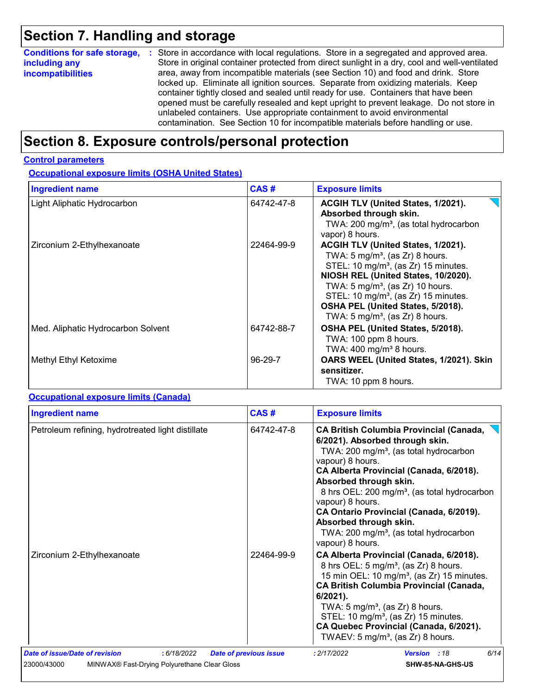## **Section 7. Handling and storage**

| <b>Conditions for safe storage,</b> | : Store in accordance with local regulations. Store in a segregated and approved area.        |
|-------------------------------------|-----------------------------------------------------------------------------------------------|
| including any                       | Store in original container protected from direct sunlight in a dry, cool and well-ventilated |
| <i>incompatibilities</i>            | area, away from incompatible materials (see Section 10) and food and drink. Store             |
|                                     | locked up. Eliminate all ignition sources. Separate from oxidizing materials. Keep            |
|                                     | container tightly closed and sealed until ready for use. Containers that have been            |
|                                     | opened must be carefully resealed and kept upright to prevent leakage. Do not store in        |
|                                     | unlabeled containers. Use appropriate containment to avoid environmental                      |
|                                     | contamination. See Section 10 for incompatible materials before handling or use.              |

## **Section 8. Exposure controls/personal protection**

#### **Control parameters**

**Occupational exposure limits (OSHA United States)**

| <b>Ingredient name</b>             | CAS#       | <b>Exposure limits</b>                                                                                                                                                                                                                                                                                                                                             |
|------------------------------------|------------|--------------------------------------------------------------------------------------------------------------------------------------------------------------------------------------------------------------------------------------------------------------------------------------------------------------------------------------------------------------------|
| Light Aliphatic Hydrocarbon        | 64742-47-8 | ACGIH TLV (United States, 1/2021).<br>Absorbed through skin.<br>TWA: 200 mg/m <sup>3</sup> , (as total hydrocarbon<br>vapor) 8 hours.                                                                                                                                                                                                                              |
| Zirconium 2-Ethylhexanoate         | 22464-99-9 | ACGIH TLV (United States, 1/2021).<br>TWA: $5 \text{ mg/m}^3$ , (as Zr) 8 hours.<br>STEL: 10 mg/m <sup>3</sup> , (as Zr) 15 minutes.<br>NIOSH REL (United States, 10/2020).<br>TWA: 5 mg/m <sup>3</sup> , (as Zr) 10 hours.<br>STEL: 10 mg/m <sup>3</sup> , (as Zr) 15 minutes.<br>OSHA PEL (United States, 5/2018).<br>TWA: $5 \text{ mg/m}^3$ , (as Zr) 8 hours. |
| Med. Aliphatic Hydrocarbon Solvent | 64742-88-7 | OSHA PEL (United States, 5/2018).<br>TWA: 100 ppm 8 hours.<br>TWA: $400$ mg/m <sup>3</sup> 8 hours.                                                                                                                                                                                                                                                                |
| Methyl Ethyl Ketoxime              | 96-29-7    | OARS WEEL (United States, 1/2021). Skin<br>sensitizer.<br>TWA: 10 ppm 8 hours.                                                                                                                                                                                                                                                                                     |

#### **Occupational exposure limits (Canada)**

| <b>Ingredient name</b>                                      | CAS#                          | <b>Exposure limits</b>                                                                                                                                                                                                                                                                                                                                                                                                                                          |  |  |  |
|-------------------------------------------------------------|-------------------------------|-----------------------------------------------------------------------------------------------------------------------------------------------------------------------------------------------------------------------------------------------------------------------------------------------------------------------------------------------------------------------------------------------------------------------------------------------------------------|--|--|--|
| Petroleum refining, hydrotreated light distillate           | 64742-47-8                    | <b>CA British Columbia Provincial (Canada,</b><br>6/2021). Absorbed through skin.<br>TWA: 200 mg/m <sup>3</sup> , (as total hydrocarbon<br>vapour) 8 hours.<br>CA Alberta Provincial (Canada, 6/2018).<br>Absorbed through skin.<br>8 hrs OEL: 200 mg/m <sup>3</sup> , (as total hydrocarbon<br>vapour) 8 hours.<br>CA Ontario Provincial (Canada, 6/2019).<br>Absorbed through skin.<br>TWA: 200 mg/m <sup>3</sup> , (as total hydrocarbon<br>vapour) 8 hours. |  |  |  |
| Zirconium 2-Ethylhexanoate                                  | 22464-99-9                    | CA Alberta Provincial (Canada, 6/2018).<br>8 hrs OEL: 5 mg/m <sup>3</sup> , (as Zr) 8 hours.<br>15 min OEL: 10 mg/m <sup>3</sup> , (as Zr) 15 minutes.<br><b>CA British Columbia Provincial (Canada,</b><br>$6/2021$ ).<br>TWA: $5 \text{ mg/m}^3$ , (as Zr) 8 hours.<br>STEL: 10 mg/m <sup>3</sup> , (as Zr) 15 minutes.<br>CA Quebec Provincial (Canada, 6/2021).<br>TWAEV: $5 \text{ mg/m}^3$ , (as Zr) 8 hours.                                             |  |  |  |
| Date of issue/Date of revision<br>: 6/18/2022               | <b>Date of previous issue</b> | 6/14<br>: 2/17/2022<br><b>Version</b> : 18                                                                                                                                                                                                                                                                                                                                                                                                                      |  |  |  |
| 23000/43000<br>MINWAX® Fast-Drying Polyurethane Clear Gloss |                               | SHW-85-NA-GHS-US                                                                                                                                                                                                                                                                                                                                                                                                                                                |  |  |  |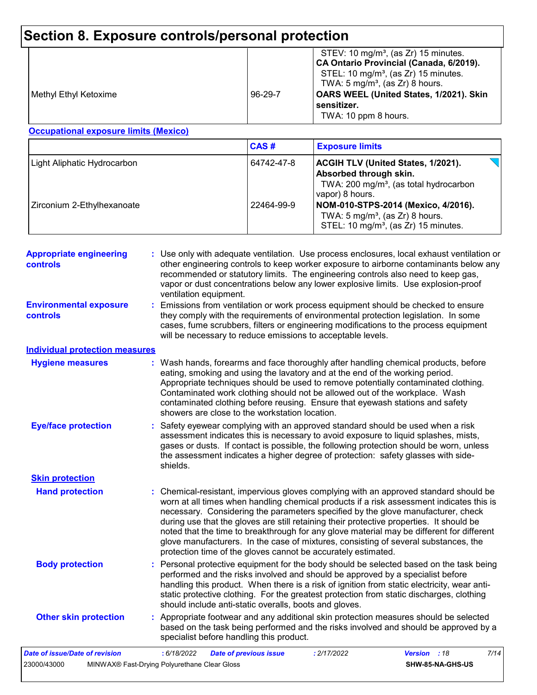## **Section 8. Exposure controls/personal protection**

|  | Methyl Ethyl Ketoxime | $96 - 29 - 7$ | STEV: 10 mg/m <sup>3</sup> , (as Zr) 15 minutes.<br>CA Ontario Provincial (Canada, 6/2019).<br>STEL: 10 mg/m <sup>3</sup> , (as Zr) 15 minutes.<br>TWA: $5 \text{ mg/m}^3$ , (as Zr) 8 hours.<br>OARS WEEL (United States, 1/2021). Skin<br>sensitizer.<br>TWA: 10 ppm 8 hours. |
|--|-----------------------|---------------|---------------------------------------------------------------------------------------------------------------------------------------------------------------------------------------------------------------------------------------------------------------------------------|
|--|-----------------------|---------------|---------------------------------------------------------------------------------------------------------------------------------------------------------------------------------------------------------------------------------------------------------------------------------|

#### **Occupational exposure limits (Mexico)**

|                             | CAS#       | <b>Exposure limits</b>                                                                                                                       |
|-----------------------------|------------|----------------------------------------------------------------------------------------------------------------------------------------------|
| Light Aliphatic Hydrocarbon | 64742-47-8 | <b>ACGIH TLV (United States, 1/2021).</b><br>Absorbed through skin.<br>TWA: 200 mg/m <sup>3</sup> , (as total hydrocarbon<br>vapor) 8 hours. |
| Zirconium 2-Ethylhexanoate  | 22464-99-9 | NOM-010-STPS-2014 (Mexico, 4/2016).<br>TWA: $5 \text{ mg/m}^3$ , (as Zr) 8 hours.<br>STEL: 10 mg/m <sup>3</sup> , (as Zr) 15 minutes.        |

| <b>Appropriate engineering</b><br>controls | : Use only with adequate ventilation. Use process enclosures, local exhaust ventilation or<br>other engineering controls to keep worker exposure to airborne contaminants below any<br>recommended or statutory limits. The engineering controls also need to keep gas,<br>vapor or dust concentrations below any lower explosive limits. Use explosion-proof<br>ventilation equipment.                                                                                                                                                                                                                                |
|--------------------------------------------|------------------------------------------------------------------------------------------------------------------------------------------------------------------------------------------------------------------------------------------------------------------------------------------------------------------------------------------------------------------------------------------------------------------------------------------------------------------------------------------------------------------------------------------------------------------------------------------------------------------------|
| <b>Environmental exposure</b><br>controls  | : Emissions from ventilation or work process equipment should be checked to ensure<br>they comply with the requirements of environmental protection legislation. In some<br>cases, fume scrubbers, filters or engineering modifications to the process equipment<br>will be necessary to reduce emissions to acceptable levels.                                                                                                                                                                                                                                                                                        |
| <b>Individual protection measures</b>      |                                                                                                                                                                                                                                                                                                                                                                                                                                                                                                                                                                                                                        |
| <b>Hygiene measures</b>                    | : Wash hands, forearms and face thoroughly after handling chemical products, before<br>eating, smoking and using the lavatory and at the end of the working period.<br>Appropriate techniques should be used to remove potentially contaminated clothing.<br>Contaminated work clothing should not be allowed out of the workplace. Wash<br>contaminated clothing before reusing. Ensure that eyewash stations and safety<br>showers are close to the workstation location.                                                                                                                                            |
| <b>Eye/face protection</b>                 | : Safety eyewear complying with an approved standard should be used when a risk<br>assessment indicates this is necessary to avoid exposure to liquid splashes, mists,<br>gases or dusts. If contact is possible, the following protection should be worn, unless<br>the assessment indicates a higher degree of protection: safety glasses with side-<br>shields.                                                                                                                                                                                                                                                     |
| <b>Skin protection</b>                     |                                                                                                                                                                                                                                                                                                                                                                                                                                                                                                                                                                                                                        |
| <b>Hand protection</b>                     | : Chemical-resistant, impervious gloves complying with an approved standard should be<br>worn at all times when handling chemical products if a risk assessment indicates this is<br>necessary. Considering the parameters specified by the glove manufacturer, check<br>during use that the gloves are still retaining their protective properties. It should be<br>noted that the time to breakthrough for any glove material may be different for different<br>glove manufacturers. In the case of mixtures, consisting of several substances, the<br>protection time of the gloves cannot be accurately estimated. |
| <b>Body protection</b>                     | : Personal protective equipment for the body should be selected based on the task being<br>performed and the risks involved and should be approved by a specialist before<br>handling this product. When there is a risk of ignition from static electricity, wear anti-<br>static protective clothing. For the greatest protection from static discharges, clothing<br>should include anti-static overalls, boots and gloves.                                                                                                                                                                                         |
| <b>Other skin protection</b>               | : Appropriate footwear and any additional skin protection measures should be selected<br>based on the task being performed and the risks involved and should be approved by a<br>specialist before handling this product.                                                                                                                                                                                                                                                                                                                                                                                              |
| <b>Date of issue/Date of revision</b>      | : 6/18/2022<br>7/14<br><b>Date of previous issue</b><br>: 2/17/2022<br><b>Version</b><br>:18                                                                                                                                                                                                                                                                                                                                                                                                                                                                                                                           |
| 23000/43000                                | MINWAX® Fast-Drying Polyurethane Clear Gloss<br>SHW-85-NA-GHS-US                                                                                                                                                                                                                                                                                                                                                                                                                                                                                                                                                       |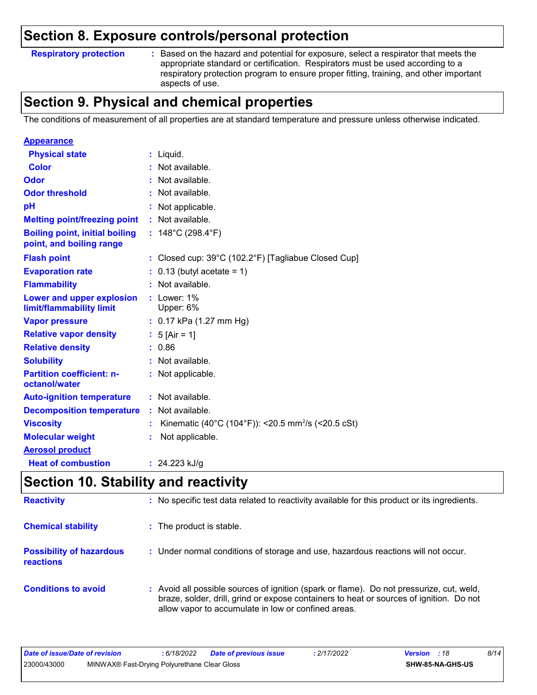### **Section 8. Exposure controls/personal protection**

#### **Respiratory protection :**

Based on the hazard and potential for exposure, select a respirator that meets the appropriate standard or certification. Respirators must be used according to a respiratory protection program to ensure proper fitting, training, and other important aspects of use.

### **Section 9. Physical and chemical properties**

The conditions of measurement of all properties are at standard temperature and pressure unless otherwise indicated.

| <b>Appearance</b>                                                 |    |                                                                |
|-------------------------------------------------------------------|----|----------------------------------------------------------------|
| <b>Physical state</b>                                             |    | $:$ Liquid.                                                    |
| <b>Color</b>                                                      |    | : Not available.                                               |
| Odor                                                              |    | : Not available.                                               |
| <b>Odor threshold</b>                                             |    | Not available.                                                 |
| рH                                                                |    | : Not applicable.                                              |
| <b>Melting point/freezing point</b>                               |    | : Not available.                                               |
| <b>Boiling point, initial boiling</b><br>point, and boiling range |    | : $148^{\circ}$ C (298.4 $^{\circ}$ F)                         |
| <b>Flash point</b>                                                |    | : Closed cup: 39°C (102.2°F) [Tagliabue Closed Cup]            |
| <b>Evaporation rate</b>                                           |    | $: 0.13$ (butyl acetate = 1)                                   |
| <b>Flammability</b>                                               |    | : Not available.                                               |
| Lower and upper explosion<br>limit/flammability limit             |    | $:$ Lower: $1\%$<br>Upper: 6%                                  |
| <b>Vapor pressure</b>                                             |    | $: 0.17$ kPa (1.27 mm Hg)                                      |
| <b>Relative vapor density</b>                                     |    | : $5$ [Air = 1]                                                |
| <b>Relative density</b>                                           |    | : 0.86                                                         |
| <b>Solubility</b>                                                 |    | : Not available.                                               |
| <b>Partition coefficient: n-</b><br>octanol/water                 |    | : Not applicable.                                              |
| <b>Auto-ignition temperature</b>                                  |    | : Not available.                                               |
| <b>Decomposition temperature</b>                                  | ÷. | Not available.                                                 |
| <b>Viscosity</b>                                                  |    | Kinematic (40°C (104°F)): <20.5 mm <sup>2</sup> /s (<20.5 cSt) |
| <b>Molecular weight</b>                                           |    | Not applicable.                                                |
| <b>Aerosol product</b>                                            |    |                                                                |
| <b>Heat of combustion</b>                                         |    | : $24.223$ kJ/g                                                |

### **Section 10. Stability and reactivity**

| <b>Reactivity</b>                            | : No specific test data related to reactivity available for this product or its ingredients.                                                                                                                                               |
|----------------------------------------------|--------------------------------------------------------------------------------------------------------------------------------------------------------------------------------------------------------------------------------------------|
| <b>Chemical stability</b>                    | : The product is stable.                                                                                                                                                                                                                   |
| <b>Possibility of hazardous</b><br>reactions | : Under normal conditions of storage and use, hazardous reactions will not occur.                                                                                                                                                          |
| <b>Conditions to avoid</b>                   | : Avoid all possible sources of ignition (spark or flame). Do not pressurize, cut, weld,<br>braze, solder, drill, grind or expose containers to heat or sources of ignition. Do not<br>allow vapor to accumulate in low or confined areas. |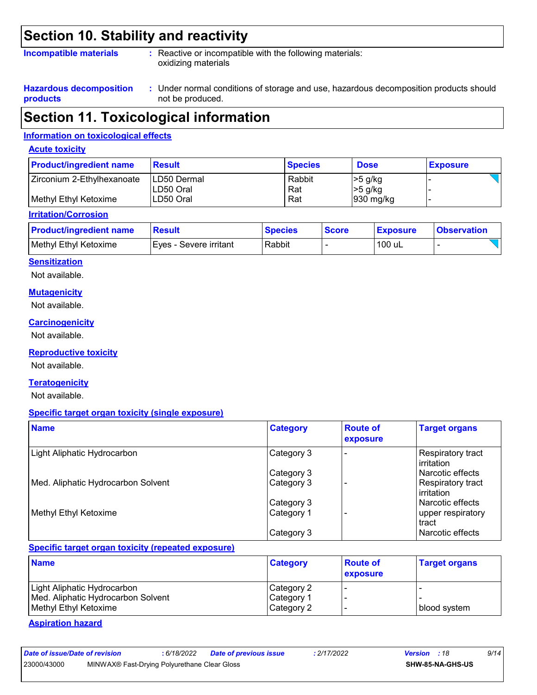### **Section 10. Stability and reactivity**

#### **Incompatible materials :**

: Reactive or incompatible with the following materials: oxidizing materials

**Hazardous decomposition products**

Under normal conditions of storage and use, hazardous decomposition products should **:** not be produced.

### **Section 11. Toxicological information**

#### **Information on toxicological effects**

#### **Acute toxicity**

| <b>Product/ingredient name</b> | <b>Result</b>             | <b>Species</b> | <b>Dose</b>           | <b>Exposure</b> |
|--------------------------------|---------------------------|----------------|-----------------------|-----------------|
| Zirconium 2-Ethylhexanoate     | ILD50 Dermal<br>LD50 Oral | Rabbit<br>Rat  | $>5$ g/kg<br> >5 g/kg |                 |
| Methyl Ethyl Ketoxime          | LD50 Oral                 | Rat            | $ 930 \text{ mg/kg} $ |                 |

#### **Irritation/Corrosion**

| <b>Product/ingredient name</b> | ⊺Result                  | <b>Species</b> | <b>Score</b> | <b>Exposure</b> | <u>I</u> Observation |
|--------------------------------|--------------------------|----------------|--------------|-----------------|----------------------|
| Methyl Ethyl Ketoxime          | I Eves - Severe irritant | Rabbit         |              | 100 uL          |                      |

#### **Sensitization**

Not available.

#### **Mutagenicity**

Not available.

#### **Carcinogenicity**

Not available.

#### **Reproductive toxicity**

Not available.

#### **Teratogenicity**

Not available.

#### **Specific target organ toxicity (single exposure)**

| <b>Name</b>                        | <b>Category</b> | <b>Route of</b><br>exposure | <b>Target organs</b>              |
|------------------------------------|-----------------|-----------------------------|-----------------------------------|
| Light Aliphatic Hydrocarbon        | Category 3      |                             | Respiratory tract<br>lirritation  |
|                                    | Category 3      |                             | l Narcotic effects                |
| Med. Aliphatic Hydrocarbon Solvent | Category 3      |                             | Respiratory tract<br>l irritation |
|                                    | Category 3      |                             | l Narcotic effects                |
| Methyl Ethyl Ketoxime              | Category 1      |                             | upper respiratory<br>tract        |
|                                    | Category 3      |                             | Narcotic effects                  |

#### **Specific target organ toxicity (repeated exposure)**

| <b>Name</b>                        | <b>Category</b> | <b>Route of</b><br><b>exposure</b> | <b>Target organs</b> |
|------------------------------------|-----------------|------------------------------------|----------------------|
| Light Aliphatic Hydrocarbon        | Category 2      |                                    |                      |
| Med. Aliphatic Hydrocarbon Solvent | Category 1      |                                    |                      |
| Methyl Ethyl Ketoxime              | Category 2      |                                    | blood system         |

#### **Aspiration hazard**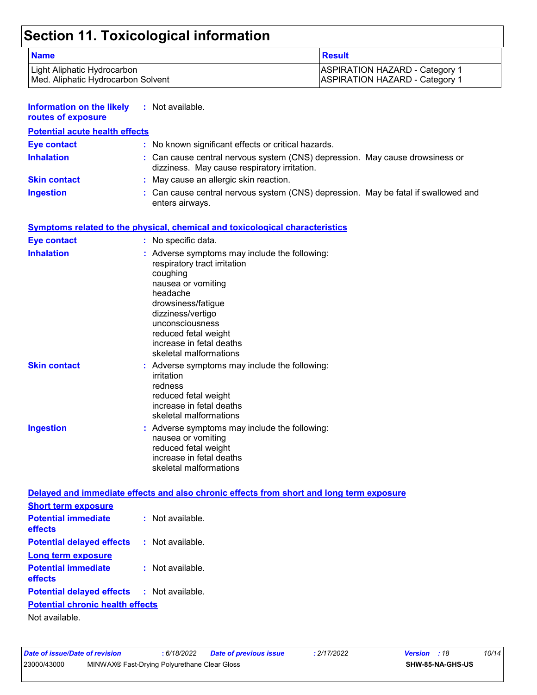## **Section 11. Toxicological information**

| <b>Name</b>                                                                              |                                                                                                                                                                                                                                                                         | <b>Result</b>                         |  |  |
|------------------------------------------------------------------------------------------|-------------------------------------------------------------------------------------------------------------------------------------------------------------------------------------------------------------------------------------------------------------------------|---------------------------------------|--|--|
| Light Aliphatic Hydrocarbon                                                              |                                                                                                                                                                                                                                                                         | <b>ASPIRATION HAZARD - Category 1</b> |  |  |
| Med. Aliphatic Hydrocarbon Solvent                                                       |                                                                                                                                                                                                                                                                         | <b>ASPIRATION HAZARD - Category 1</b> |  |  |
| <b>Information on the likely</b><br>routes of exposure                                   | : Not available.                                                                                                                                                                                                                                                        |                                       |  |  |
| <b>Potential acute health effects</b>                                                    |                                                                                                                                                                                                                                                                         |                                       |  |  |
| <b>Eye contact</b>                                                                       | : No known significant effects or critical hazards.                                                                                                                                                                                                                     |                                       |  |  |
| <b>Inhalation</b>                                                                        | : Can cause central nervous system (CNS) depression. May cause drowsiness or<br>dizziness. May cause respiratory irritation.                                                                                                                                            |                                       |  |  |
| <b>Skin contact</b>                                                                      | : May cause an allergic skin reaction.                                                                                                                                                                                                                                  |                                       |  |  |
| <b>Ingestion</b>                                                                         | : Can cause central nervous system (CNS) depression. May be fatal if swallowed and<br>enters airways.                                                                                                                                                                   |                                       |  |  |
|                                                                                          | <b>Symptoms related to the physical, chemical and toxicological characteristics</b>                                                                                                                                                                                     |                                       |  |  |
| <b>Eye contact</b>                                                                       | : No specific data.                                                                                                                                                                                                                                                     |                                       |  |  |
| <b>Inhalation</b>                                                                        | : Adverse symptoms may include the following:<br>respiratory tract irritation<br>coughing<br>nausea or vomiting<br>headache<br>drowsiness/fatigue<br>dizziness/vertigo<br>unconsciousness<br>reduced fetal weight<br>increase in fetal deaths<br>skeletal malformations |                                       |  |  |
| <b>Skin contact</b>                                                                      | : Adverse symptoms may include the following:<br>irritation<br>redness<br>reduced fetal weight<br>increase in fetal deaths<br>skeletal malformations                                                                                                                    |                                       |  |  |
| <b>Ingestion</b>                                                                         | : Adverse symptoms may include the following:<br>nausea or vomiting<br>reduced fetal weight<br>increase in fetal deaths<br>skeletal malformations                                                                                                                       |                                       |  |  |
| Delayed and immediate effects and also chronic effects from short and long term exposure |                                                                                                                                                                                                                                                                         |                                       |  |  |
| <b>Short term exposure</b>                                                               |                                                                                                                                                                                                                                                                         |                                       |  |  |
| <b>Potential immediate</b><br>effects                                                    | : Not available.                                                                                                                                                                                                                                                        |                                       |  |  |
| <b>Potential delayed effects</b>                                                         | : Not available.                                                                                                                                                                                                                                                        |                                       |  |  |
| <b>Long term exposure</b>                                                                |                                                                                                                                                                                                                                                                         |                                       |  |  |
| <b>Potential immediate</b><br>effects                                                    | : Not available.                                                                                                                                                                                                                                                        |                                       |  |  |
| <b>Potential delayed effects</b>                                                         | : Not available.                                                                                                                                                                                                                                                        |                                       |  |  |
| <b>Potential chronic health effects</b><br>Not available.                                |                                                                                                                                                                                                                                                                         |                                       |  |  |
|                                                                                          |                                                                                                                                                                                                                                                                         |                                       |  |  |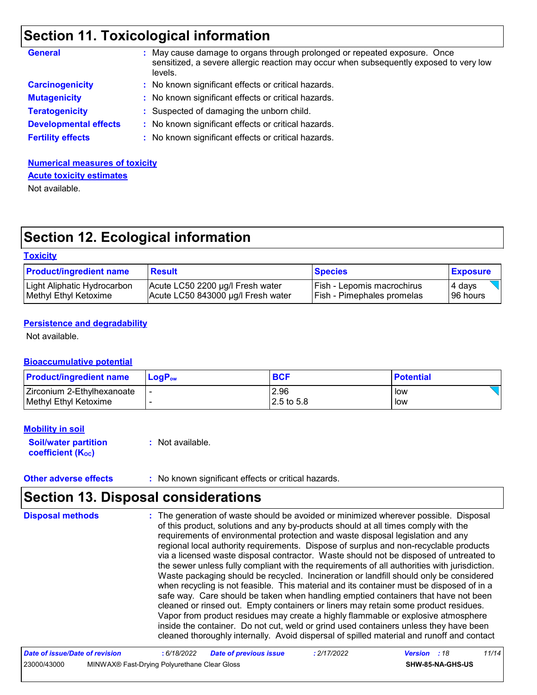## **Section 11. Toxicological information**

| <b>General</b>               | May cause damage to organs through prolonged or repeated exposure. Once<br>sensitized, a severe allergic reaction may occur when subsequently exposed to very low<br>levels. |
|------------------------------|------------------------------------------------------------------------------------------------------------------------------------------------------------------------------|
| <b>Carcinogenicity</b>       | : No known significant effects or critical hazards.                                                                                                                          |
| <b>Mutagenicity</b>          | : No known significant effects or critical hazards.                                                                                                                          |
| <b>Teratogenicity</b>        | : Suspected of damaging the unborn child.                                                                                                                                    |
| <b>Developmental effects</b> | : No known significant effects or critical hazards.                                                                                                                          |
| <b>Fertility effects</b>     | : No known significant effects or critical hazards.                                                                                                                          |

### **Numerical measures of toxicity Acute toxicity estimates**

Not available.

## **Section 12. Ecological information**

#### **Toxicity**

| <b>Product/ingredient name</b> | <b>Result</b>                      | <b>Species</b>             | <b>Exposure</b> |
|--------------------------------|------------------------------------|----------------------------|-----------------|
| Light Aliphatic Hydrocarbon    | Acute LC50 2200 µg/l Fresh water   | Fish - Lepomis macrochirus | 4 davs          |
| Methyl Ethyl Ketoxime          | Acute LC50 843000 µg/l Fresh water | Fish - Pimephales promelas | 196 hours       |

#### **Persistence and degradability**

Not available.

#### **Bioaccumulative potential**

| <b>Product/ingredient name</b> | $LoaPow$ | <b>BCF</b>   | <b>Potential</b> |
|--------------------------------|----------|--------------|------------------|
| Zirconium 2-Ethylhexanoate     |          | 2.96         | low              |
| Methyl Ethyl Ketoxime          |          | $2.5$ to 5.8 | low              |

#### **Mobility in soil**

**Soil/water partition coefficient (KOC)**

**:** Not available.

**Other adverse effects** : No known significant effects or critical hazards.

## **Section 13. Disposal considerations**

| <b>Disposal methods</b> | : The generation of waste should be avoided or minimized wherever possible. Disposal<br>of this product, solutions and any by-products should at all times comply with the<br>requirements of environmental protection and waste disposal legislation and any<br>regional local authority requirements. Dispose of surplus and non-recyclable products<br>via a licensed waste disposal contractor. Waste should not be disposed of untreated to<br>the sewer unless fully compliant with the requirements of all authorities with jurisdiction.<br>Waste packaging should be recycled. Incineration or landfill should only be considered<br>when recycling is not feasible. This material and its container must be disposed of in a<br>safe way. Care should be taken when handling emptied containers that have not been<br>cleaned or rinsed out. Empty containers or liners may retain some product residues.<br>Vapor from product residues may create a highly flammable or explosive atmosphere<br>inside the container. Do not cut, weld or grind used containers unless they have been<br>cleaned thoroughly internally. Avoid dispersal of spilled material and runoff and contact |
|-------------------------|------------------------------------------------------------------------------------------------------------------------------------------------------------------------------------------------------------------------------------------------------------------------------------------------------------------------------------------------------------------------------------------------------------------------------------------------------------------------------------------------------------------------------------------------------------------------------------------------------------------------------------------------------------------------------------------------------------------------------------------------------------------------------------------------------------------------------------------------------------------------------------------------------------------------------------------------------------------------------------------------------------------------------------------------------------------------------------------------------------------------------------------------------------------------------------------------|
|-------------------------|------------------------------------------------------------------------------------------------------------------------------------------------------------------------------------------------------------------------------------------------------------------------------------------------------------------------------------------------------------------------------------------------------------------------------------------------------------------------------------------------------------------------------------------------------------------------------------------------------------------------------------------------------------------------------------------------------------------------------------------------------------------------------------------------------------------------------------------------------------------------------------------------------------------------------------------------------------------------------------------------------------------------------------------------------------------------------------------------------------------------------------------------------------------------------------------------|

| Date of issue/Date of revision |                                              | : 6/18/2022 | <b>Date of previous issue</b> | : 2/17/2022 | <b>Version</b> : 18 |                  | 11/14 |
|--------------------------------|----------------------------------------------|-------------|-------------------------------|-------------|---------------------|------------------|-------|
| 23000/43000                    | MINWAX® Fast-Drying Polyurethane Clear Gloss |             |                               |             |                     | SHW-85-NA-GHS-US |       |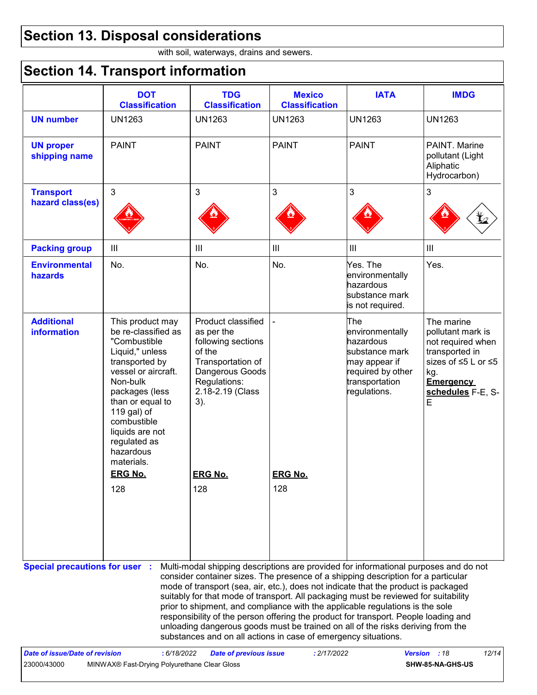## **Section 13. Disposal considerations**

with soil, waterways, drains and sewers.

## **Section 14. Transport information**

|                                                                                                                                                                                                                                                                                                                                                                                                                                                                                                                                                                                                                                                                                 | <b>DOT</b><br><b>Classification</b>                                                                                                                                                                                                                               | <b>TDG</b><br><b>Classification</b>                                                                                                                 | <b>Mexico</b><br><b>Classification</b> | <b>IATA</b>                                                                                                                   | <b>IMDG</b>                                                                                                                                        |
|---------------------------------------------------------------------------------------------------------------------------------------------------------------------------------------------------------------------------------------------------------------------------------------------------------------------------------------------------------------------------------------------------------------------------------------------------------------------------------------------------------------------------------------------------------------------------------------------------------------------------------------------------------------------------------|-------------------------------------------------------------------------------------------------------------------------------------------------------------------------------------------------------------------------------------------------------------------|-----------------------------------------------------------------------------------------------------------------------------------------------------|----------------------------------------|-------------------------------------------------------------------------------------------------------------------------------|----------------------------------------------------------------------------------------------------------------------------------------------------|
| <b>UN number</b>                                                                                                                                                                                                                                                                                                                                                                                                                                                                                                                                                                                                                                                                | <b>UN1263</b>                                                                                                                                                                                                                                                     | <b>UN1263</b>                                                                                                                                       | <b>UN1263</b>                          | <b>UN1263</b>                                                                                                                 | <b>UN1263</b>                                                                                                                                      |
| <b>UN proper</b><br>shipping name                                                                                                                                                                                                                                                                                                                                                                                                                                                                                                                                                                                                                                               | <b>PAINT</b>                                                                                                                                                                                                                                                      | <b>PAINT</b>                                                                                                                                        | <b>PAINT</b>                           | <b>PAINT</b>                                                                                                                  | PAINT. Marine<br>pollutant (Light<br>Aliphatic<br>Hydrocarbon)                                                                                     |
| <b>Transport</b><br>hazard class(es)                                                                                                                                                                                                                                                                                                                                                                                                                                                                                                                                                                                                                                            | $\mathfrak{S}$                                                                                                                                                                                                                                                    | 3                                                                                                                                                   | $\mathbf{3}$                           | 3                                                                                                                             | 3                                                                                                                                                  |
| <b>Packing group</b>                                                                                                                                                                                                                                                                                                                                                                                                                                                                                                                                                                                                                                                            | $\mathbf{III}$                                                                                                                                                                                                                                                    | $\mathop{\rm III}$                                                                                                                                  | $\mathbf{III}$                         | $\mathop{\rm III}$                                                                                                            | $\ensuremath{\mathsf{III}}\xspace$                                                                                                                 |
| <b>Environmental</b><br>hazards                                                                                                                                                                                                                                                                                                                                                                                                                                                                                                                                                                                                                                                 | No.                                                                                                                                                                                                                                                               | No.                                                                                                                                                 | No.                                    | Yes. The<br>environmentally<br>hazardous<br>substance mark<br>is not required.                                                | Yes.                                                                                                                                               |
| <b>Additional</b><br>information                                                                                                                                                                                                                                                                                                                                                                                                                                                                                                                                                                                                                                                | This product may<br>be re-classified as<br>"Combustible<br>Liquid," unless<br>transported by<br>vessel or aircraft.<br>Non-bulk<br>packages (less<br>than or equal to<br>119 gal) of<br>combustible<br>liquids are not<br>regulated as<br>hazardous<br>materials. | Product classified<br>as per the<br>following sections<br>of the<br>Transportation of<br>Dangerous Goods<br>Regulations:<br>2.18-2.19 (Class<br>3). |                                        | The<br>environmentally<br>hazardous<br>substance mark<br>may appear if<br>required by other<br>transportation<br>regulations. | The marine<br>pollutant mark is<br>not required when<br>transported in<br>sizes of ≤5 L or ≤5<br>kg.<br><b>Emergency</b><br>schedules F-E, S-<br>E |
|                                                                                                                                                                                                                                                                                                                                                                                                                                                                                                                                                                                                                                                                                 | <b>ERG No.</b>                                                                                                                                                                                                                                                    | <b>ERG No.</b>                                                                                                                                      | <b>ERG No.</b>                         |                                                                                                                               |                                                                                                                                                    |
| 128<br>128<br>128<br>Multi-modal shipping descriptions are provided for informational purposes and do not<br><b>Special precautions for user :</b><br>consider container sizes. The presence of a shipping description for a particular<br>mode of transport (sea, air, etc.), does not indicate that the product is packaged<br>suitably for that mode of transport. All packaging must be reviewed for suitability<br>prior to shipment, and compliance with the applicable regulations is the sole<br>responsibility of the person offering the product for transport. People loading and<br>unloading dangerous goods must be trained on all of the risks deriving from the |                                                                                                                                                                                                                                                                   |                                                                                                                                                     |                                        |                                                                                                                               |                                                                                                                                                    |
|                                                                                                                                                                                                                                                                                                                                                                                                                                                                                                                                                                                                                                                                                 |                                                                                                                                                                                                                                                                   | substances and on all actions in case of emergency situations.                                                                                      |                                        |                                                                                                                               |                                                                                                                                                    |
| <b>Date of issue/Date of revision</b><br>23000/43000                                                                                                                                                                                                                                                                                                                                                                                                                                                                                                                                                                                                                            | : 6/18/2022<br>MINWAX® Fast-Drying Polyurethane Clear Gloss                                                                                                                                                                                                       | <b>Date of previous issue</b>                                                                                                                       | : 2/17/2022                            |                                                                                                                               | 12/14<br>Version : 18<br>SHW-85-NA-GHS-US                                                                                                          |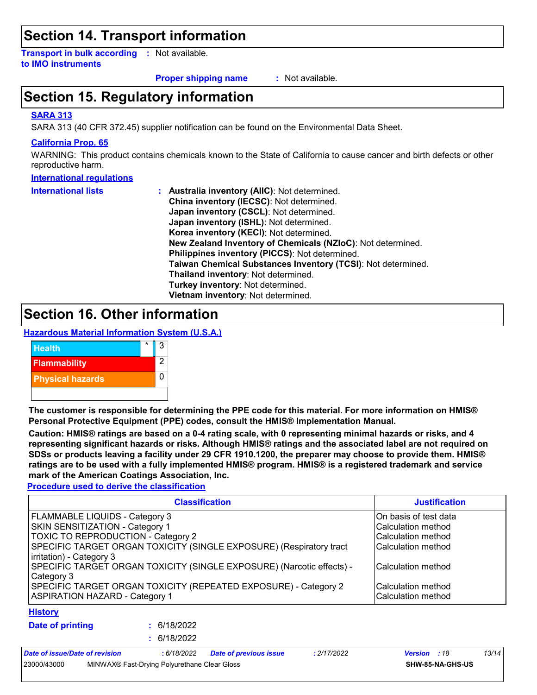### **Section 14. Transport information**

**Transport in bulk according :** Not available. **to IMO instruments**

**Proper shipping name :**

: Not available.

## **Section 15. Regulatory information**

#### **SARA 313**

SARA 313 (40 CFR 372.45) supplier notification can be found on the Environmental Data Sheet.

#### **California Prop. 65**

WARNING: This product contains chemicals known to the State of California to cause cancer and birth defects or other reproductive harm.

#### **International regulations**

| <b>International lists</b> | <b>Australia inventory (AllC): Not determined.</b>           |
|----------------------------|--------------------------------------------------------------|
|                            | China inventory (IECSC): Not determined.                     |
|                            | Japan inventory (CSCL): Not determined.                      |
|                            | Japan inventory (ISHL): Not determined.                      |
|                            | Korea inventory (KECI): Not determined.                      |
|                            | New Zealand Inventory of Chemicals (NZIoC): Not determined.  |
|                            | Philippines inventory (PICCS): Not determined.               |
|                            | Taiwan Chemical Substances Inventory (TCSI): Not determined. |
|                            | Thailand inventory: Not determined.                          |
|                            | Turkey inventory: Not determined.                            |
|                            | Vietnam inventory: Not determined.                           |

### **Section 16. Other information**

**Hazardous Material Information System (U.S.A.)**



**The customer is responsible for determining the PPE code for this material. For more information on HMIS® Personal Protective Equipment (PPE) codes, consult the HMIS® Implementation Manual.**

**Caution: HMIS® ratings are based on a 0-4 rating scale, with 0 representing minimal hazards or risks, and 4 representing significant hazards or risks. Although HMIS® ratings and the associated label are not required on SDSs or products leaving a facility under 29 CFR 1910.1200, the preparer may choose to provide them. HMIS® ratings are to be used with a fully implemented HMIS® program. HMIS® is a registered trademark and service mark of the American Coatings Association, Inc.**

**Procedure used to derive the classification**

| <b>Classification</b>                                                 | <b>Justification</b>   |
|-----------------------------------------------------------------------|------------------------|
| FLAMMABLE LIQUIDS - Category 3                                        | IOn basis of test data |
| SKIN SENSITIZATION - Category 1                                       | lCalculation method    |
| TOXIC TO REPRODUCTION - Category 2                                    | lCalculation method    |
| SPECIFIC TARGET ORGAN TOXICITY (SINGLE EXPOSURE) (Respiratory tract   | lCalculation method    |
| irritation) - Category 3                                              |                        |
| SPECIFIC TARGET ORGAN TOXICITY (SINGLE EXPOSURE) (Narcotic effects) - | lCalculation method    |
| Category 3                                                            |                        |
| SPECIFIC TARGET ORGAN TOXICITY (REPEATED EXPOSURE) - Category 2       | lCalculation method    |
| <b>ASPIRATION HAZARD - Category 1</b>                                 | Calculation method     |
| <b>History</b>                                                        |                        |

**Date of printing :**

6/18/2022 **:** 6/18/2022